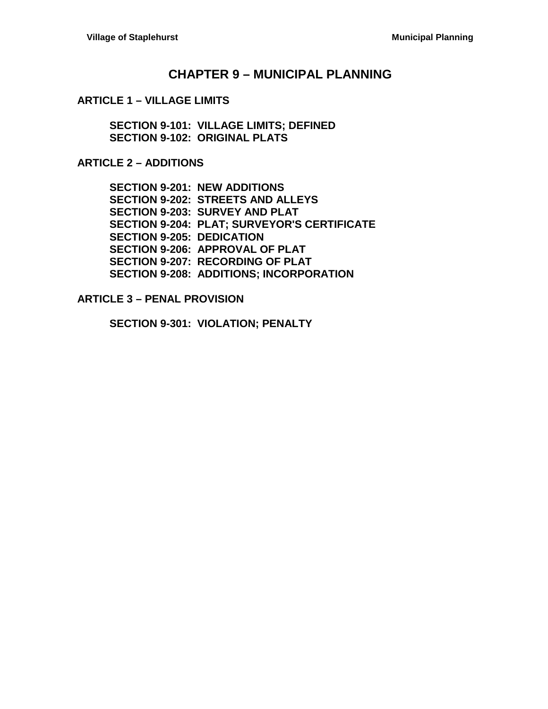## **CHAPTER 9 – [MUNICIPAL PLANNING](#page-2-0)**

#### **ARTICLE 1 – [VILLAGE LIMITS](#page-2-1)**

**[SECTION 9-101: VILLAGE LIMITS; DEFINED](#page-2-2) [SECTION 9-102: ORIGINAL PLATS](#page-2-3)**

#### **[ARTICLE 2 –](#page-4-0) ADDITIONS**

**[SECTION 9-201: NEW ADDITIONS](#page-4-1) [SECTION 9-202: STREETS AND ALLEYS](#page-4-2) [SECTION 9-203: SURVEY AND PLAT](#page-4-3) [SECTION 9-204: PLAT; SURVEYOR'S CERTIFICATE](#page-4-4) [SECTION 9-205: DEDICATION](#page-4-5) [SECTION 9-206: APPROVAL OF PLAT](#page-4-6) [SECTION 9-207: RECORDING OF PLAT](#page-5-0) [SECTION 9-208: ADDITIONS; INCORPORATION](#page-5-1)**

#### **ARTICLE 3 – [PENAL PROVISION](#page-6-0)**

**[SECTION 9-301: VIOLATION; PENALTY](#page-6-1)**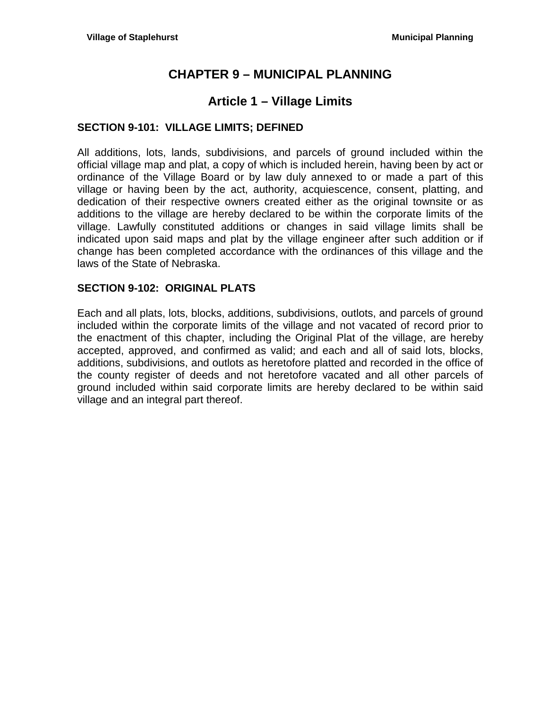# **CHAPTER 9 – MUNICIPAL PLANNING**

# **Article 1 – Village Limits**

### <span id="page-2-2"></span><span id="page-2-1"></span><span id="page-2-0"></span>**SECTION 9-101: VILLAGE LIMITS; DEFINED**

All additions, lots, lands, subdivisions, and parcels of ground included within the official village map and plat, a copy of which is included herein, having been by act or ordinance of the Village Board or by law duly annexed to or made a part of this village or having been by the act, authority, acquiescence, consent, platting, and dedication of their respective owners created either as the original townsite or as additions to the village are hereby declared to be within the corporate limits of the village. Lawfully constituted additions or changes in said village limits shall be indicated upon said maps and plat by the village engineer after such addition or if change has been completed accordance with the ordinances of this village and the laws of the State of Nebraska.

### <span id="page-2-3"></span>**SECTION 9-102: ORIGINAL PLATS**

Each and all plats, lots, blocks, additions, subdivisions, outlots, and parcels of ground included within the corporate limits of the village and not vacated of record prior to the enactment of this chapter, including the Original Plat of the village, are hereby accepted, approved, and confirmed as valid; and each and all of said lots, blocks, additions, subdivisions, and outlots as heretofore platted and recorded in the office of the county register of deeds and not heretofore vacated and all other parcels of ground included within said corporate limits are hereby declared to be within said village and an integral part thereof.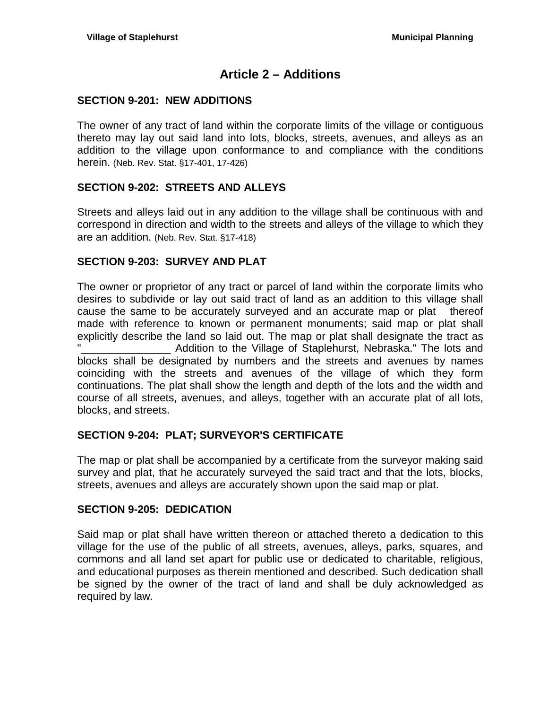# **Article 2 – Additions**

### <span id="page-4-1"></span><span id="page-4-0"></span>**SECTION 9-201: NEW ADDITIONS**

The owner of any tract of land within the corporate limits of the village or contiguous thereto may lay out said land into lots, blocks, streets, avenues, and alleys as an addition to the village upon conformance to and compliance with the conditions herein. (Neb. Rev. Stat. §17-401, 17-426)

### <span id="page-4-2"></span>**SECTION 9-202: STREETS AND ALLEYS**

Streets and alleys laid out in any addition to the village shall be continuous with and correspond in direction and width to the streets and alleys of the village to which they are an addition. (Neb. Rev. Stat. §17-418)

### <span id="page-4-3"></span>**SECTION 9-203: SURVEY AND PLAT**

The owner or proprietor of any tract or parcel of land within the corporate limits who desires to subdivide or lay out said tract of land as an addition to this village shall cause the same to be accurately surveyed and an accurate map or plat thereof made with reference to known or permanent monuments; said map or plat shall explicitly describe the land so laid out. The map or plat shall designate the tract as . Addition to the Village of Staplehurst, Nebraska." The lots and blocks shall be designated by numbers and the streets and avenues by names coinciding with the streets and avenues of the village of which they form continuations. The plat shall show the length and depth of the lots and the width and course of all streets, avenues, and alleys, together with an accurate plat of all lots, blocks, and streets.

### <span id="page-4-4"></span>**SECTION 9-204: PLAT; SURVEYOR'S CERTIFICATE**

The map or plat shall be accompanied by a certificate from the surveyor making said survey and plat, that he accurately surveyed the said tract and that the lots, blocks, streets, avenues and alleys are accurately shown upon the said map or plat.

### <span id="page-4-5"></span>**SECTION 9-205: DEDICATION**

<span id="page-4-6"></span>Said map or plat shall have written thereon or attached thereto a dedication to this village for the use of the public of all streets, avenues, alleys, parks, squares, and commons and all land set apart for public use or dedicated to charitable, religious, and educational purposes as therein mentioned and described. Such dedication shall be signed by the owner of the tract of land and shall be duly acknowledged as required by law.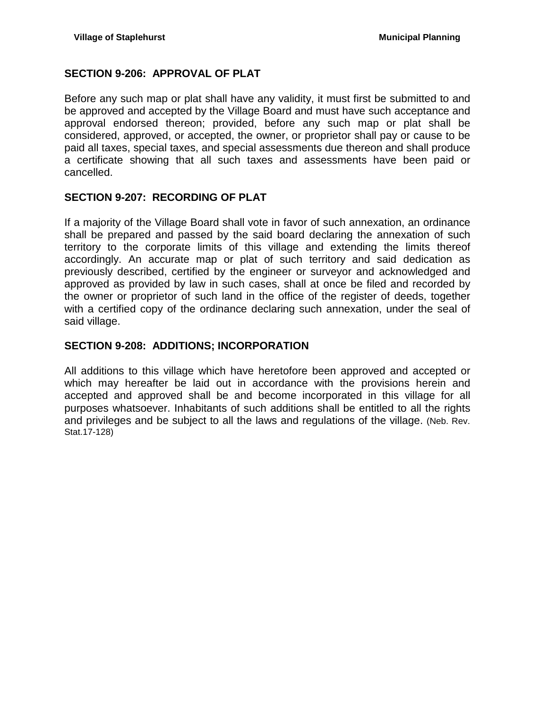## **SECTION 9-206: APPROVAL OF PLAT**

Before any such map or plat shall have any validity, it must first be submitted to and be approved and accepted by the Village Board and must have such acceptance and approval endorsed thereon; provided, before any such map or plat shall be considered, approved, or accepted, the owner, or proprietor shall pay or cause to be paid all taxes, special taxes, and special assessments due thereon and shall produce a certificate showing that all such taxes and assessments have been paid or cancelled.

## <span id="page-5-0"></span>**SECTION 9-207: RECORDING OF PLAT**

If a majority of the Village Board shall vote in favor of such annexation, an ordinance shall be prepared and passed by the said board declaring the annexation of such territory to the corporate limits of this village and extending the limits thereof accordingly. An accurate map or plat of such territory and said dedication as previously described, certified by the engineer or surveyor and acknowledged and approved as provided by law in such cases, shall at once be filed and recorded by the owner or proprietor of such land in the office of the register of deeds, together with a certified copy of the ordinance declaring such annexation, under the seal of said village.

### <span id="page-5-1"></span>**SECTION 9-208: ADDITIONS; INCORPORATION**

All additions to this village which have heretofore been approved and accepted or which may hereafter be laid out in accordance with the provisions herein and accepted and approved shall be and become incorporated in this village for all purposes whatsoever. Inhabitants of such additions shall be entitled to all the rights and privileges and be subject to all the laws and regulations of the village. (Neb. Rev. Stat.17-128)